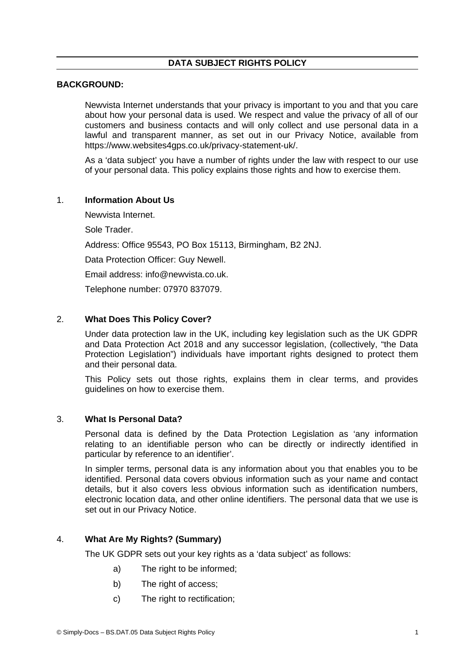### **DATA SUBJECT RIGHTS POLICY**

### **BACKGROUND:**

Newvista Internet understands that your privacy is important to you and that you care about how your personal data is used. We respect and value the privacy of all of our customers and business contacts and will only collect and use personal data in a lawful and transparent manner, as set out in our Privacy Notice, available from https://www.websites4gps.co.uk/privacy-statement-uk/.

As a 'data subject' you have a number of rights under the law with respect to our use of your personal data. This policy explains those rights and how to exercise them.

#### 1. **Information About Us**

<span id="page-0-0"></span>Newvista Internet.

Sole Trader.

Address: Office 95543, PO Box 15113, Birmingham, B2 2NJ.

Data Protection Officer: Guy Newell.

Email address: info@newvista.co.uk.

Telephone number: 07970 837079.

## 2. **What Does This Policy Cover?**

Under data protection law in the UK, including key legislation such as the UK GDPR and Data Protection Act 2018 and any successor legislation, (collectively, "the Data Protection Legislation") individuals have important rights designed to protect them and their personal data.

This Policy sets out those rights, explains them in clear terms, and provides guidelines on how to exercise them.

#### 3. **What Is Personal Data?**

Personal data is defined by the Data Protection Legislation as 'any information relating to an identifiable person who can be directly or indirectly identified in particular by reference to an identifier'.

In simpler terms, personal data is any information about you that enables you to be identified. Personal data covers obvious information such as your name and contact details, but it also covers less obvious information such as identification numbers, electronic location data, and other online identifiers. The personal data that we use is set out in our Privacy Notice.

## 4. **What Are My Rights? (Summary)**

The UK GDPR sets out your key rights as a 'data subject' as follows:

- a) The right to be informed;
- b) The right of access;
- c) The right to rectification;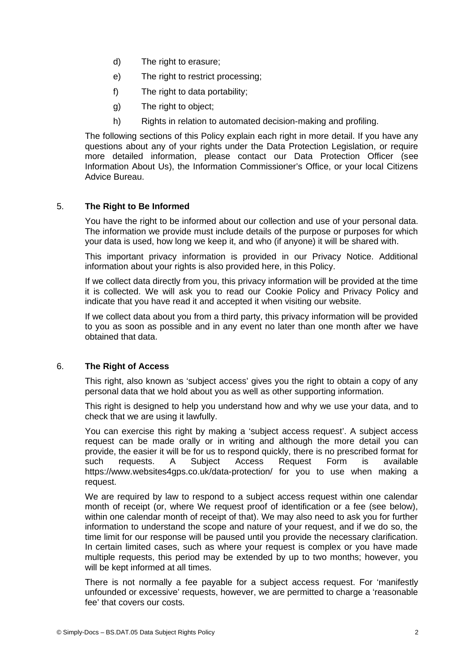- d) The right to erasure;
- e) The right to restrict processing:
- f) The right to data portability;
- g) The right to object;
- h) Rights in relation to automated decision-making and profiling.

The following sections of this Policy explain each right in more detail. If you have any questions about any of your rights under the Data Protection Legislation, or require more detailed information, please contact our Data Protection Officer (see [Information About Us\)](#page-0-0), the Information Commissioner's Office, or your local Citizens Advice Bureau.

# 5. **The Right to Be Informed**

You have the right to be informed about our collection and use of your personal data. The information we provide must include details of the purpose or purposes for which your data is used, how long we keep it, and who (if anyone) it will be shared with.

This important privacy information is provided in our Privacy Notice. Additional information about your rights is also provided here, in this Policy.

If we collect data directly from you, this privacy information will be provided at the time it is collected. We will ask you to read our Cookie Policy and Privacy Policy and indicate that you have read it and accepted it when visiting our website.

If we collect data about you from a third party, this privacy information will be provided to you as soon as possible and in any event no later than one month after we have obtained that data.

## 6. **The Right of Access**

This right, also known as 'subject access' gives you the right to obtain a copy of any personal data that we hold about you as well as other supporting information.

This right is designed to help you understand how and why we use your data, and to check that we are using it lawfully.

You can exercise this right by making a 'subject access request'. A subject access request can be made orally or in writing and although the more detail you can provide, the easier it will be for us to respond quickly, there is no prescribed format for such requests. A Subject Access Request Form is available https://www.websites4gps.co.uk/data-protection/ for you to use when making a request.

We are required by law to respond to a subject access request within one calendar month of receipt (or, where We request proof of identification or a fee (see below), within one calendar month of receipt of that). We may also need to ask you for further information to understand the scope and nature of your request, and if we do so, the time limit for our response will be paused until you provide the necessary clarification. In certain limited cases, such as where your request is complex or you have made multiple requests, this period may be extended by up to two months; however, you will be kept informed at all times.

There is not normally a fee payable for a subject access request. For 'manifestly unfounded or excessive' requests, however, we are permitted to charge a 'reasonable fee' that covers our costs.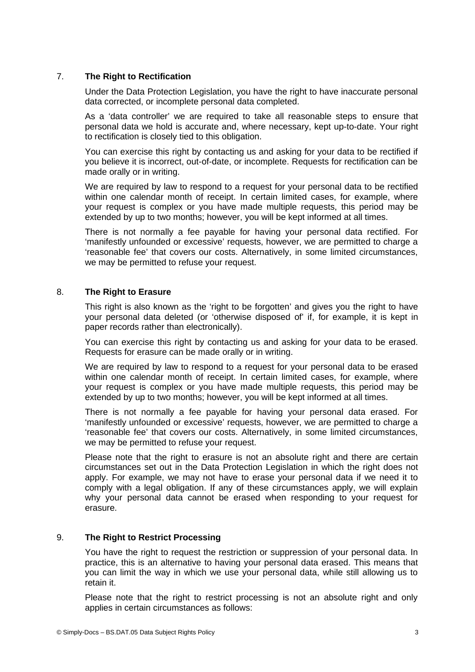## 7. **The Right to Rectification**

Under the Data Protection Legislation, you have the right to have inaccurate personal data corrected, or incomplete personal data completed.

As a 'data controller' we are required to take all reasonable steps to ensure that personal data we hold is accurate and, where necessary, kept up-to-date. Your right to rectification is closely tied to this obligation.

You can exercise this right by contacting us and asking for your data to be rectified if you believe it is incorrect, out-of-date, or incomplete. Requests for rectification can be made orally or in writing.

We are required by law to respond to a request for your personal data to be rectified within one calendar month of receipt. In certain limited cases, for example, where your request is complex or you have made multiple requests, this period may be extended by up to two months; however, you will be kept informed at all times.

There is not normally a fee payable for having your personal data rectified. For 'manifestly unfounded or excessive' requests, however, we are permitted to charge a 'reasonable fee' that covers our costs. Alternatively, in some limited circumstances, we may be permitted to refuse your request.

### 8. **The Right to Erasure**

This right is also known as the 'right to be forgotten' and gives you the right to have your personal data deleted (or 'otherwise disposed of' if, for example, it is kept in paper records rather than electronically).

You can exercise this right by contacting us and asking for your data to be erased. Requests for erasure can be made orally or in writing.

We are required by law to respond to a request for your personal data to be erased within one calendar month of receipt. In certain limited cases, for example, where your request is complex or you have made multiple requests, this period may be extended by up to two months; however, you will be kept informed at all times.

There is not normally a fee payable for having your personal data erased. For 'manifestly unfounded or excessive' requests, however, we are permitted to charge a 'reasonable fee' that covers our costs. Alternatively, in some limited circumstances, we may be permitted to refuse your request.

Please note that the right to erasure is not an absolute right and there are certain circumstances set out in the Data Protection Legislation in which the right does not apply. For example, we may not have to erase your personal data if we need it to comply with a legal obligation. If any of these circumstances apply, we will explain why your personal data cannot be erased when responding to your request for erasure.

# 9. **The Right to Restrict Processing**

You have the right to request the restriction or suppression of your personal data. In practice, this is an alternative to having your personal data erased. This means that you can limit the way in which we use your personal data, while still allowing us to retain it.

Please note that the right to restrict processing is not an absolute right and only applies in certain circumstances as follows: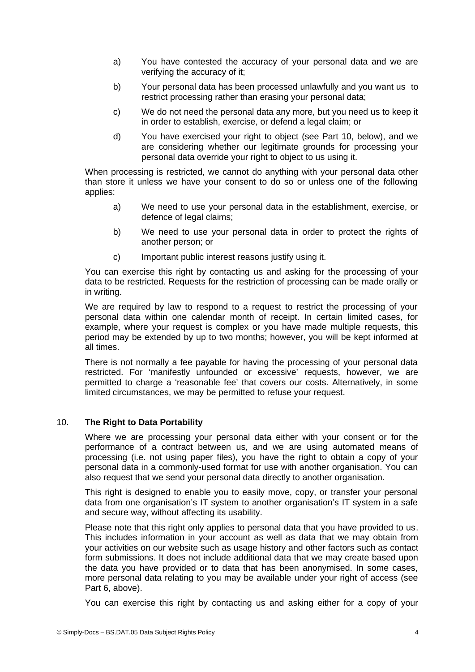- a) You have contested the accuracy of your personal data and we are verifying the accuracy of it;
- b) Your personal data has been processed unlawfully and you want us to restrict processing rather than erasing your personal data;
- c) We do not need the personal data any more, but you need us to keep it in order to establish, exercise, or defend a legal claim; or
- d) You have exercised your right to object (see Part 10, below), and we are considering whether our legitimate grounds for processing your personal data override your right to object to us using it.

When processing is restricted, we cannot do anything with your personal data other than store it unless we have your consent to do so or unless one of the following applies:

- a) We need to use your personal data in the establishment, exercise, or defence of legal claims;
- b) We need to use your personal data in order to protect the rights of another person; or
- c) Important public interest reasons justify using it.

You can exercise this right by contacting us and asking for the processing of your data to be restricted. Requests for the restriction of processing can be made orally or in writing.

We are required by law to respond to a request to restrict the processing of your personal data within one calendar month of receipt. In certain limited cases, for example, where your request is complex or you have made multiple requests, this period may be extended by up to two months; however, you will be kept informed at all times.

There is not normally a fee payable for having the processing of your personal data restricted. For 'manifestly unfounded or excessive' requests, however, we are permitted to charge a 'reasonable fee' that covers our costs. Alternatively, in some limited circumstances, we may be permitted to refuse your request.

## 10. **The Right to Data Portability**

Where we are processing your personal data either with your consent or for the performance of a contract between us, and we are using automated means of processing (i.e. not using paper files), you have the right to obtain a copy of your personal data in a commonly-used format for use with another organisation. You can also request that we send your personal data directly to another organisation.

This right is designed to enable you to easily move, copy, or transfer your personal data from one organisation's IT system to another organisation's IT system in a safe and secure way, without affecting its usability.

Please note that this right only applies to personal data that you have provided to us. This includes information in your account as well as data that we may obtain from your activities on our website such as usage history and other factors such as contact form submissions. It does not include additional data that we may create based upon the data you have provided or to data that has been anonymised. In some cases, more personal data relating to you may be available under your right of access (see Part 6, above).

You can exercise this right by contacting us and asking either for a copy of your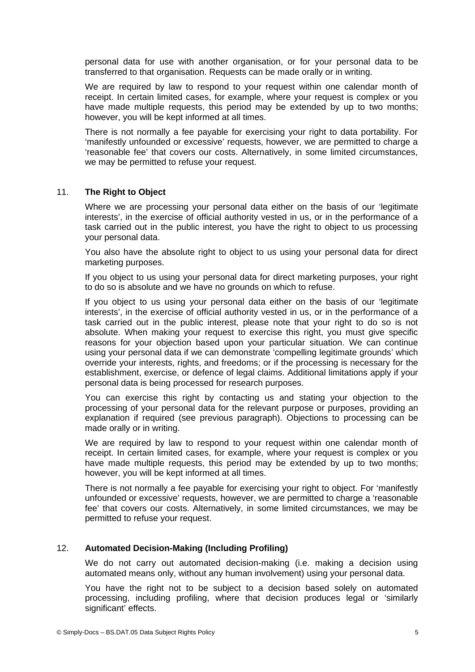personal data for use with another organisation, or for your personal data to be transferred to that organisation. Requests can be made orally or in writing.

We are required by law to respond to your request within one calendar month of receipt. In certain limited cases, for example, where your request is complex or you have made multiple requests, this period may be extended by up to two months; however, you will be kept informed at all times.

There is not normally a fee payable for exercising your right to data portability. For 'manifestly unfounded or excessive' requests, however, we are permitted to charge a 'reasonable fee' that covers our costs. Alternatively, in some limited circumstances, we may be permitted to refuse your request.

### 11. **The Right to Object**

Where we are processing your personal data either on the basis of our 'legitimate interests', in the exercise of official authority vested in us, or in the performance of a task carried out in the public interest, you have the right to object to us processing your personal data.

You also have the absolute right to object to us using your personal data for direct marketing purposes.

If you object to us using your personal data for direct marketing purposes, your right to do so is absolute and we have no grounds on which to refuse.

If you object to us using your personal data either on the basis of our 'legitimate interests', in the exercise of official authority vested in us, or in the performance of a task carried out in the public interest, please note that your right to do so is not absolute. When making your request to exercise this right, you must give specific reasons for your objection based upon your particular situation. We can continue using your personal data if we can demonstrate 'compelling legitimate grounds' which override your interests, rights, and freedoms; or if the processing is necessary for the establishment, exercise, or defence of legal claims. Additional limitations apply if your personal data is being processed for research purposes.

You can exercise this right by contacting us and stating your objection to the processing of your personal data for the relevant purpose or purposes, providing an explanation if required (see previous paragraph). Objections to processing can be made orally or in writing.

We are required by law to respond to your request within one calendar month of receipt. In certain limited cases, for example, where your request is complex or you have made multiple requests, this period may be extended by up to two months; however, you will be kept informed at all times.

There is not normally a fee payable for exercising your right to object. For 'manifestly unfounded or excessive' requests, however, we are permitted to charge a 'reasonable fee' that covers our costs. Alternatively, in some limited circumstances, we may be permitted to refuse your request.

## 12. **Automated Decision-Making (Including Profiling)**

We do not carry out automated decision-making (i.e. making a decision using automated means only, without any human involvement) using your personal data.

You have the right not to be subject to a decision based solely on automated processing, including profiling, where that decision produces legal or 'similarly significant' effects.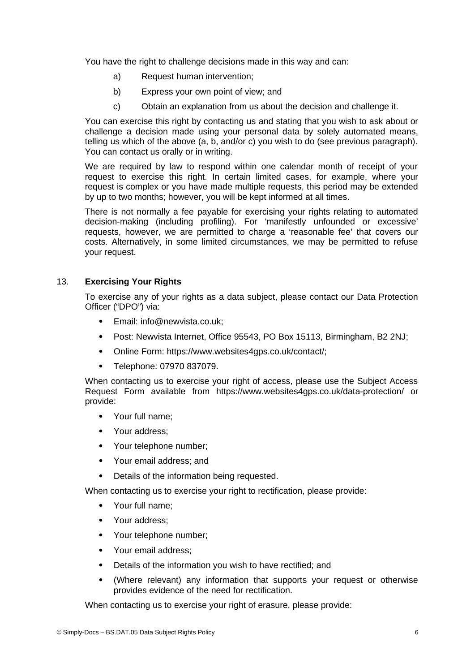You have the right to challenge decisions made in this way and can:

- a) Request human intervention;
- b) Express your own point of view; and
- c) Obtain an explanation from us about the decision and challenge it.

You can exercise this right by contacting us and stating that you wish to ask about or challenge a decision made using your personal data by solely automated means, telling us which of the above (a, b, and/or c) you wish to do (see previous paragraph). You can contact us orally or in writing.

We are required by law to respond within one calendar month of receipt of your request to exercise this right. In certain limited cases, for example, where your request is complex or you have made multiple requests, this period may be extended by up to two months; however, you will be kept informed at all times.

There is not normally a fee payable for exercising your rights relating to automated decision-making (including profiling). For 'manifestly unfounded or excessive' requests, however, we are permitted to charge a 'reasonable fee' that covers our costs. Alternatively, in some limited circumstances, we may be permitted to refuse your request.

## 13. **Exercising Your Rights**

To exercise any of your rights as a data subject, please contact our Data Protection Officer ("DPO") via:

- Email: info@newvista.co.uk;
- Post: Newvista Internet, Office 95543, PO Box 15113, Birmingham, B2 2NJ;
- Online Form: https://www.websites4gps.co.uk/contact/;
- Telephone: 07970 837079.

When contacting us to exercise your right of access, please use the Subject Access Request Form available from https://www.websites4gps.co.uk/data-protection/ or provide:

- Your full name;
- Your address;
- Your telephone number;
- Your email address; and
- Details of the information being requested.

When contacting us to exercise your right to rectification, please provide:

- Your full name;
- Your address;
- Your telephone number;
- Your email address;
- Details of the information you wish to have rectified; and
- (Where relevant) any information that supports your request or otherwise provides evidence of the need for rectification.

When contacting us to exercise your right of erasure, please provide: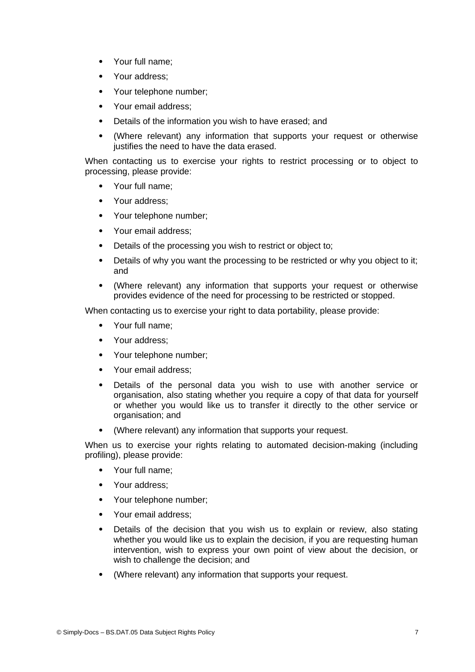- Your full name;
- Your address:
- Your telephone number;
- Your email address;
- Details of the information you wish to have erased; and
- (Where relevant) any information that supports your request or otherwise justifies the need to have the data erased.

When contacting us to exercise your rights to restrict processing or to object to processing, please provide:

- Your full name;
- Your address:
- Your telephone number;
- Your email address:
- Details of the processing you wish to restrict or object to;
- Details of why you want the processing to be restricted or why you object to it; and
- (Where relevant) any information that supports your request or otherwise provides evidence of the need for processing to be restricted or stopped.

When contacting us to exercise your right to data portability, please provide:

- Your full name;
- Your address:
- Your telephone number;
- Your email address;
- Details of the personal data you wish to use with another service or organisation, also stating whether you require a copy of that data for yourself or whether you would like us to transfer it directly to the other service or organisation; and
- (Where relevant) any information that supports your request.

When us to exercise your rights relating to automated decision-making (including profiling), please provide:

- Your full name:
- Your address;
- Your telephone number:
- Your email address:
- Details of the decision that you wish us to explain or review, also stating whether you would like us to explain the decision, if you are requesting human intervention, wish to express your own point of view about the decision, or wish to challenge the decision; and
- (Where relevant) any information that supports your request.